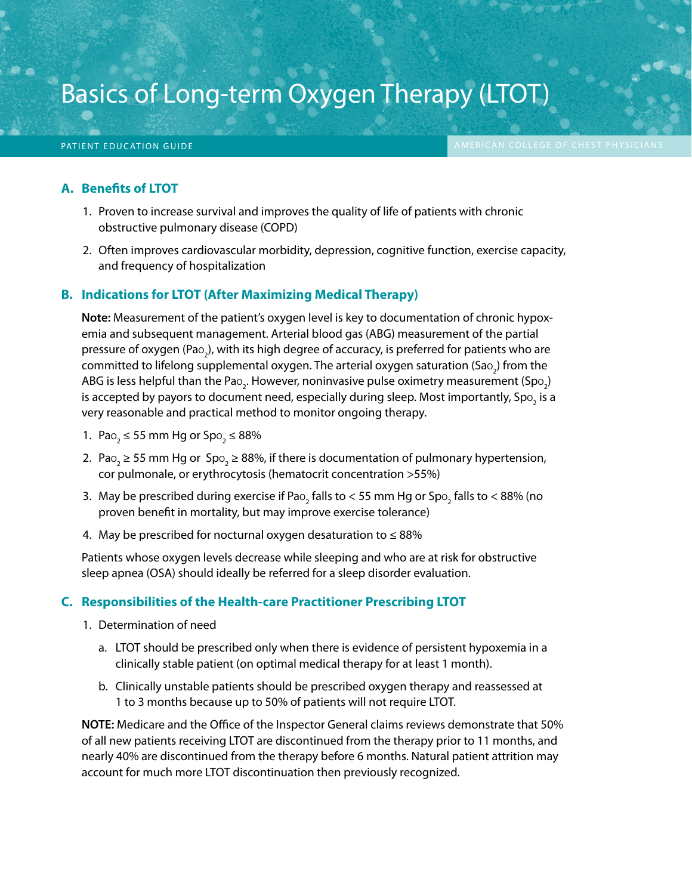# Basics of Long-term Oxygen Therapy (LTOT)

Basics of Long-term Oxygen Therapy (LTOT) American College of College of Chest Physics Physics Physics Physics

#### **A. Benefits of LTOT**

- 1. Proven to increase survival and improves the quality of life of patients with chronic obstructive pulmonary disease (COPD)
- 2. Often improves cardiovascular morbidity, depression, cognitive function, exercise capacity, and frequency of hospitalization

#### **B. Indications for LTOT (After Maximizing Medical Therapy)**

**Note:** Measurement of the patient's oxygen level is key to documentation of chronic hypoxemia and subsequent management. Arterial blood gas (ABG) measurement of the partial pressure of oxygen (Pa $_{2}$ ), with its high degree of accuracy, is preferred for patients who are committed to lifelong supplemental oxygen. The arterial oxygen saturation (Sa $\rm o_2$ ) from the ABG is less helpful than the Pao<sub>2</sub>. However, noninvasive pulse oximetry measurement (Spo<sub>2</sub>) is accepted by payors to document need, especially during sleep. Most importantly, Sp $\rm o_{2}$  is a very reasonable and practical method to monitor ongoing therapy.

- 1. Pao<sub>2</sub>  $\leq$  55 mm Hg or Spo<sub>2</sub>  $\leq$  88%
- 2. Pao<sub>2</sub>  $\geq$  55 mm Hg or Spo<sub>2</sub>  $\geq$  88%, if there is documentation of pulmonary hypertension, cor pulmonale, or erythrocytosis (hematocrit concentration >55%)
- 3. May be prescribed during exercise if Pao $_2$  falls to < 55 mm Hg or Spo $_2$  falls to < 88% (no proven benefit in mortality, but may improve exercise tolerance)
- 4. May be prescribed for nocturnal oxygen desaturation to  $\leq 88\%$

Patients whose oxygen levels decrease while sleeping and who are at risk for obstructive sleep apnea (OSA) should ideally be referred for a sleep disorder evaluation.

#### **C. Responsibilities of the Health-care Practitioner Prescribing LTOT**

- 1. Determination of need
	- a. LTOT should be prescribed only when there is evidence of persistent hypoxemia in a clinically stable patient (on optimal medical therapy for at least 1 month).
	- b. Clinically unstable patients should be prescribed oxygen therapy and reassessed at 1 to 3 months because up to 50% of patients will not require LTOT.

**NOTE:** Medicare and the Office of the Inspector General claims reviews demonstrate that 50% of all new patients receiving LTOT are discontinued from the therapy prior to 11 months, and nearly 40% are discontinued from the therapy before 6 months. Natural patient attrition may account for much more LTOT discontinuation then previously recognized.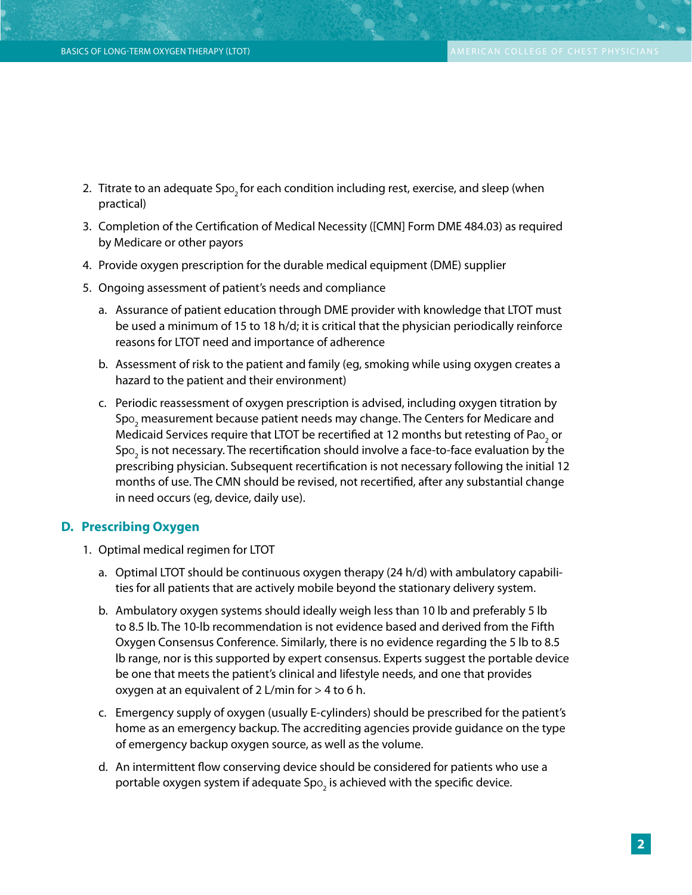- 2. Titrate to an adequate Spo<sub>2</sub> for each condition including rest, exercise, and sleep (when practical)
- 3. Completion of the Certification of Medical Necessity ([CMN] Form DME 484.03) as required by Medicare or other payors
- 4. Provide oxygen prescription for the durable medical equipment (DME) supplier
- 5. Ongoing assessment of patient's needs and compliance
	- a. Assurance of patient education through DME provider with knowledge that LTOT must be used a minimum of 15 to 18 h/d; it is critical that the physician periodically reinforce reasons for LTOT need and importance of adherence
	- b. Assessment of risk to the patient and family (eg, smoking while using oxygen creates a hazard to the patient and their environment)
	- c. Periodic reassessment of oxygen prescription is advised, including oxygen titration by Spo $_2$  measurement because patient needs may change. The Centers for Medicare and Medicaid Services require that LTOT be recertified at 12 months but retesting of Pa $\rm o_{2}$  or Spo<sub>2</sub> is not necessary. The recertification should involve a face-to-face evaluation by the prescribing physician. Subsequent recertification is not necessary following the initial 12 months of use. The CMN should be revised, not recertified, after any substantial change in need occurs (eg, device, daily use).

#### **D. Prescribing Oxygen**

- 1. Optimal medical regimen for LTOT
	- a. Optimal LTOT should be continuous oxygen therapy (24 h/d) with ambulatory capabilities for all patients that are actively mobile beyond the stationary delivery system.
	- b. Ambulatory oxygen systems should ideally weigh less than 10 lb and preferably 5 lb to 8.5 lb. The 10-lb recommendation is not evidence based and derived from the Fifth Oxygen Consensus Conference. Similarly, there is no evidence regarding the 5 lb to 8.5 lb range, nor is this supported by expert consensus. Experts suggest the portable device be one that meets the patient's clinical and lifestyle needs, and one that provides oxygen at an equivalent of 2 L/min for  $>$  4 to 6 h.
	- c. Emergency supply of oxygen (usually E-cylinders) should be prescribed for the patient's home as an emergency backup. The accrediting agencies provide guidance on the type of emergency backup oxygen source, as well as the volume.
	- d. An intermittent flow conserving device should be considered for patients who use a portable oxygen system if adequate Sp $\rm o_2$  is achieved with the specific device.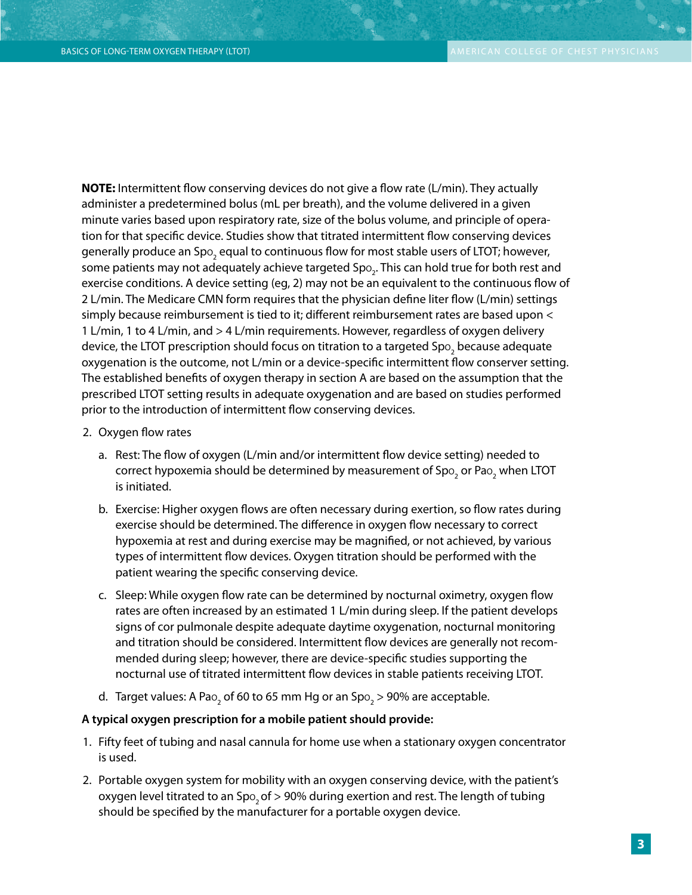**NOTE:** Intermittent flow conserving devices do not give a flow rate (L/min). They actually administer a predetermined bolus (mL per breath), and the volume delivered in a given minute varies based upon respiratory rate, size of the bolus volume, and principle of operation for that specific device. Studies show that titrated intermittent flow conserving devices generally produce an Spo $_{_2}$  equal to continuous flow for most stable users of LTOT; however, some patients may not adequately achieve targeted Spo $_{\textrm{\tiny{2}}}$ . This can hold true for both rest and exercise conditions. A device setting (eg, 2) may not be an equivalent to the continuous flow of 2 L/min. The Medicare CMN form requires that the physician define liter flow (L/min) settings simply because reimbursement is tied to it; different reimbursement rates are based upon < 1 L/min, 1 to 4 L/min, and > 4 L/min requirements. However, regardless of oxygen delivery device, the LTOT prescription should focus on titration to a targeted Spo $_2$  because adequate oxygenation is the outcome, not L/min or a device-specific intermittent flow conserver setting. The established benefits of oxygen therapy in section A are based on the assumption that the prescribed LTOT setting results in adequate oxygenation and are based on studies performed prior to the introduction of intermittent flow conserving devices.

- 2. Oxygen flow rates
	- a. Rest: The flow of oxygen (L/min and/or intermittent flow device setting) needed to correct hypoxemia should be determined by measurement of Spo $_2$  or Pao $_2$  when LTOT is initiated.
	- b. Exercise: Higher oxygen flows are often necessary during exertion, so flow rates during exercise should be determined. The difference in oxygen flow necessary to correct hypoxemia at rest and during exercise may be magnified, or not achieved, by various types of intermittent flow devices. Oxygen titration should be performed with the patient wearing the specific conserving device.
	- c. Sleep: While oxygen flow rate can be determined by nocturnal oximetry, oxygen flow rates are often increased by an estimated 1 L/min during sleep. If the patient develops signs of cor pulmonale despite adequate daytime oxygenation, nocturnal monitoring and titration should be considered. Intermittent flow devices are generally not recommended during sleep; however, there are device-specific studies supporting the nocturnal use of titrated intermittent flow devices in stable patients receiving LTOT.
	- d. Target values: A Pa $\rm o_2$  of 60 to 65 mm Hg or an Sp $\rm o_2$  > 90% are acceptable.

#### **A typical oxygen prescription for a mobile patient should provide:**

- 1. Fifty feet of tubing and nasal cannula for home use when a stationary oxygen concentrator is used.
- 2. Portable oxygen system for mobility with an oxygen conserving device, with the patient's oxygen level titrated to an  $Spo$ , of  $> 90\%$  during exertion and rest. The length of tubing should be specified by the manufacturer for a portable oxygen device.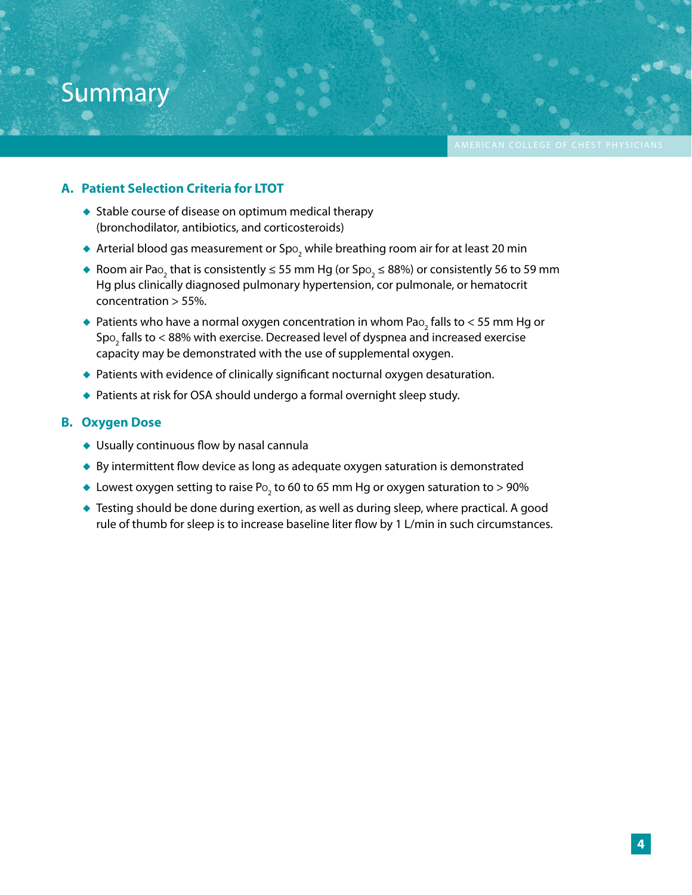## Summary

#### **A. Patient Selection Criteria for LTOT**

- ◆ Stable course of disease on optimum medical therapy (bronchodilator, antibiotics, and corticosteroids)
- $\blacklozenge$  Arterial blood gas measurement or Spo $_2$  while breathing room air for at least 20 min
- ◆ Room air Pao $_2$  that is consistently ≤ 55 mm Hg (or Spo $_2$  ≤ 88%) or consistently 56 to 59 mm Hg plus clinically diagnosed pulmonary hypertension, cor pulmonale, or hematocrit concentration > 55%.

Basics of Long-term Oxygen Therapy (LTOT) American College of College of Chest Physics Physics Physics Physics

- $\blacklozenge$  Patients who have a normal oxygen concentration in whom Pa $\mathrm{o}_{_2}$  falls to  $<$  55 mm Hg or Sp $\rm o_2$  falls to  $<$  88% with exercise. Decreased level of dyspnea and increased exercise capacity may be demonstrated with the use of supplemental oxygen.
- ◆ Patients with evidence of clinically significant nocturnal oxygen desaturation.
- ◆ Patients at risk for OSA should undergo a formal overnight sleep study.

#### **B. Oxygen Dose**

- ◆ Usually continuous flow by nasal cannula
- ◆ By intermittent flow device as long as adequate oxygen saturation is demonstrated
- $\bullet\,$  Lowest oxygen setting to raise Po<sub>2</sub> to 60 to 65 mm Hg or oxygen saturation to > 90%
- ◆ Testing should be done during exertion, as well as during sleep, where practical. A good rule of thumb for sleep is to increase baseline liter flow by 1 L/min in such circumstances.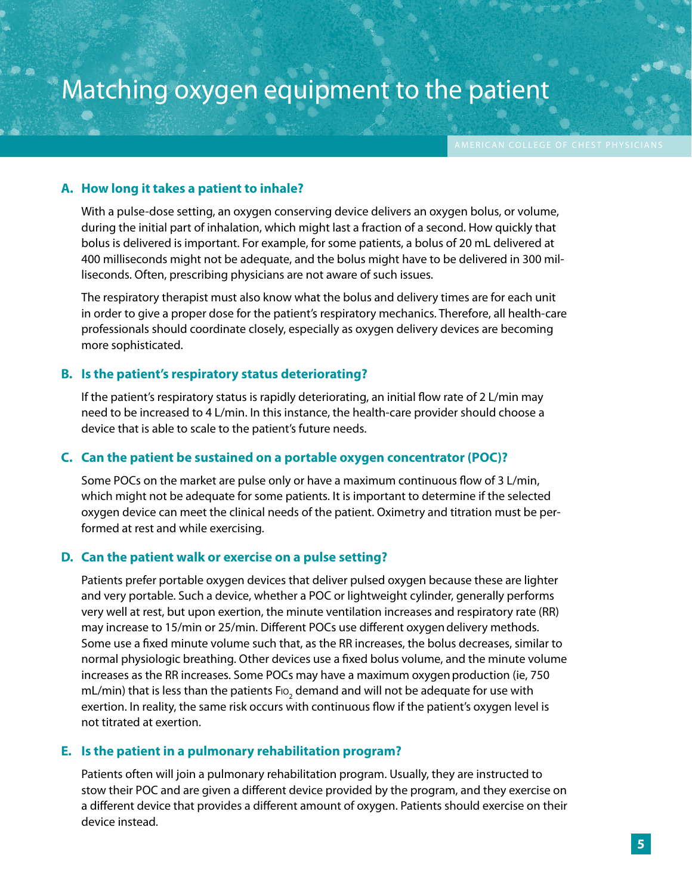Basics of Long-term Oxygen Therapy (LTOT) American College of College of Chest Physics Physics Physics Physics

### **A. How long it takes a patient to inhale?**

With a pulse-dose setting, an oxygen conserving device delivers an oxygen bolus, or volume, during the initial part of inhalation, which might last a fraction of a second. How quickly that bolus is delivered is important. For example, for some patients, a bolus of 20 mL delivered at 400 milliseconds might not be adequate, and the bolus might have to be delivered in 300 milliseconds. Often, prescribing physicians are not aware of such issues.

The respiratory therapist must also know what the bolus and delivery times are for each unit in order to give a proper dose for the patient's respiratory mechanics. Therefore, all health-care professionals should coordinate closely, especially as oxygen delivery devices are becoming more sophisticated.

#### **B. Is the patient's respiratory status deteriorating?**

If the patient's respiratory status is rapidly deteriorating, an initial flow rate of 2 L/min may need to be increased to 4 L/min. In this instance, the health-care provider should choose a device that is able to scale to the patient's future needs.

#### **C. Can the patient be sustained on a portable oxygen concentrator (POC)?**

Some POCs on the market are pulse only or have a maximum continuous flow of 3 L/min, which might not be adequate for some patients. It is important to determine if the selected oxygen device can meet the clinical needs of the patient. Oximetry and titration must be performed at rest and while exercising.

#### **D. Can the patient walk or exercise on a pulse setting?**

Patients prefer portable oxygen devices that deliver pulsed oxygen because these are lighter and very portable. Such a device, whether a POC or lightweight cylinder, generally performs very well at rest, but upon exertion, the minute ventilation increases and respiratory rate (RR) may increase to 15/min or 25/min. Different POCs use different oxygendelivery methods. Some use a fixed minute volume such that, as the RR increases, the bolus decreases, similar to normal physiologic breathing. Other devices use a fixed bolus volume, and the minute volume increases as the RR increases. Some POCs may have a maximum oxygenproduction (ie, 750 mL/min) that is less than the patients F10<sub>2</sub> demand and will not be adequate for use with exertion. In reality, the same risk occurs with continuous flow if the patient's oxygen level is not titrated at exertion.

#### **E. Is the patient in a pulmonary rehabilitation program?**

Patients often will join a pulmonary rehabilitation program. Usually, they are instructed to stow their POC and are given a different device provided by the program, and they exercise on a different device that provides a different amount of oxygen. Patients should exercise on their device instead.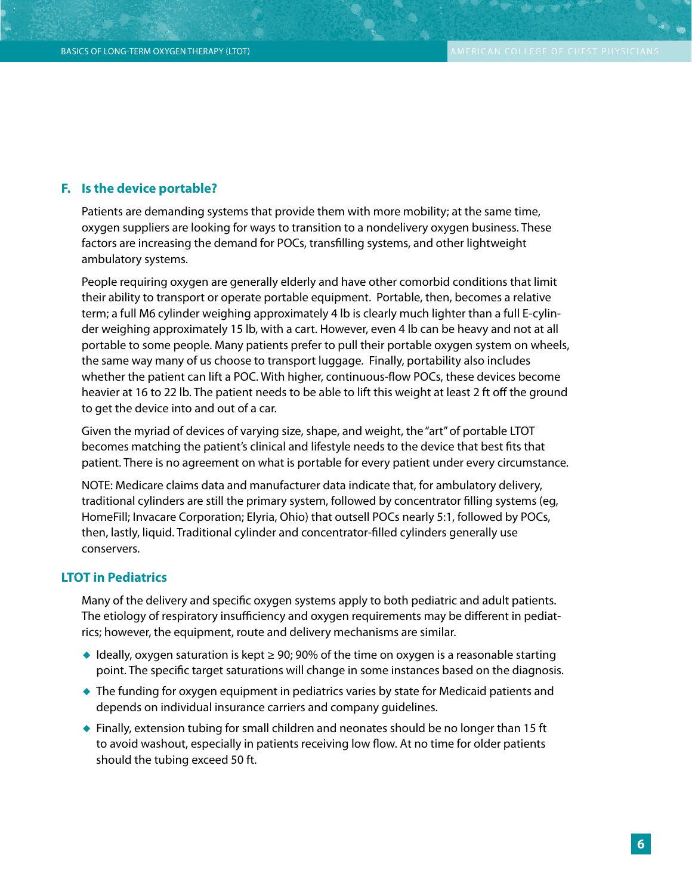#### **F. Is the device portable?**

Patients are demanding systems that provide them with more mobility; at the same time, oxygen suppliers are looking for ways to transition to a nondelivery oxygen business. These factors are increasing the demand for POCs, transfilling systems, and other lightweight ambulatory systems.

People requiring oxygen are generally elderly and have other comorbid conditions that limit their ability to transport or operate portable equipment. Portable, then, becomes a relative term; a full M6 cylinder weighing approximately 4 lb is clearly much lighter than a full E-cylinder weighing approximately 15 lb, with a cart. However, even 4 lb can be heavy and not at all portable to some people. Many patients prefer to pull their portable oxygen system on wheels, the same way many of us choose to transport luggage. Finally, portability also includes whether the patient can lift a POC. With higher, continuous-flow POCs, these devices become heavier at 16 to 22 lb. The patient needs to be able to lift this weight at least 2 ft off the ground to get the device into and out of a car.

Given the myriad of devices of varying size, shape, and weight, the "art" of portable LTOT becomes matching the patient's clinical and lifestyle needs to the device that best fits that patient. There is no agreement on what is portable for every patient under every circumstance.

NOTE: Medicare claims data and manufacturer data indicate that, for ambulatory delivery, traditional cylinders are still the primary system, followed by concentrator filling systems (eg, HomeFill; Invacare Corporation; Elyria, Ohio) that outsell POCs nearly 5:1, followed by POCs, then, lastly, liquid. Traditional cylinder and concentrator-filled cylinders generally use conservers.

#### **LTOT in Pediatrics**

Many of the delivery and specific oxygen systems apply to both pediatric and adult patients. The etiology of respiratory insufficiency and oxygen requirements may be different in pediatrics; however, the equipment, route and delivery mechanisms are similar.

- $\blacklozenge$  Ideally, oxygen saturation is kept  $\geq 90$ ; 90% of the time on oxygen is a reasonable starting point. The specific target saturations will change in some instances based on the diagnosis.
- ◆ The funding for oxygen equipment in pediatrics varies by state for Medicaid patients and depends on individual insurance carriers and company guidelines.
- $\bullet$  Finally, extension tubing for small children and neonates should be no longer than 15 ft to avoid washout, especially in patients receiving low flow. At no time for older patients should the tubing exceed 50 ft.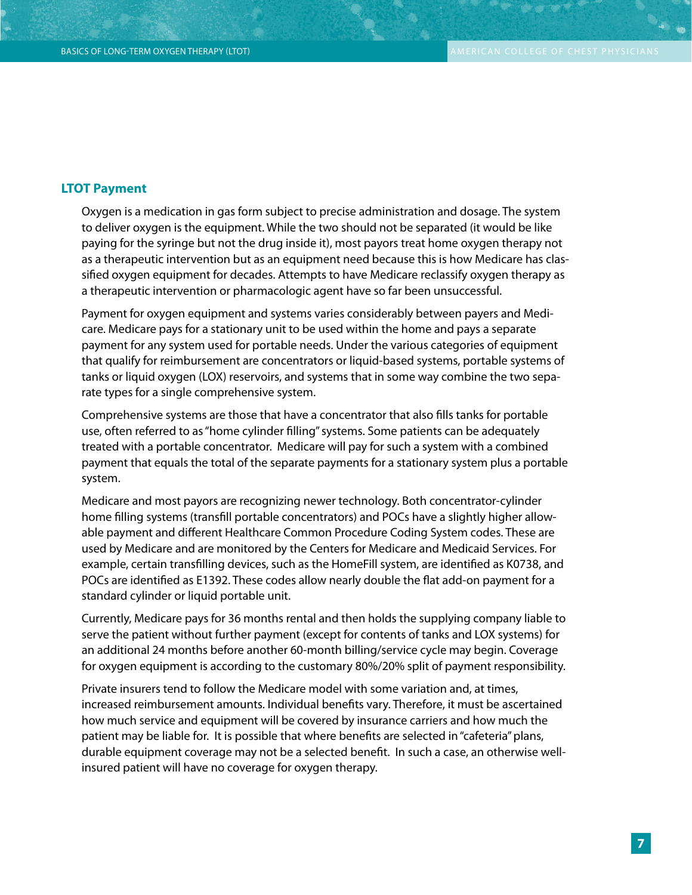#### **LTOT Payment**

Oxygen is a medication in gas form subject to precise administration and dosage. The system to deliver oxygen is the equipment. While the two should not be separated (it would be like paying for the syringe but not the drug inside it), most payors treat home oxygen therapy not as a therapeutic intervention but as an equipment need because this is how Medicare has classified oxygen equipment for decades. Attempts to have Medicare reclassify oxygen therapy as a therapeutic intervention or pharmacologic agent have so far been unsuccessful.

Payment for oxygen equipment and systems varies considerably between payers and Medicare. Medicare pays for a stationary unit to be used within the home and pays a separate payment for any system used for portable needs. Under the various categories of equipment that qualify for reimbursement are concentrators or liquid-based systems, portable systems of tanks or liquid oxygen (LOX) reservoirs, and systems that in some way combine the two separate types for a single comprehensive system.

Comprehensive systems are those that have a concentrator that also fills tanks for portable use, often referred to as "home cylinder filling" systems. Some patients can be adequately treated with a portable concentrator. Medicare will pay for such a system with a combined payment that equals the total of the separate payments for a stationary system plus a portable system.

Medicare and most payors are recognizing newer technology. Both concentrator-cylinder home filling systems (transfill portable concentrators) and POCs have a slightly higher allowable payment and different Healthcare Common Procedure Coding System codes. These are used by Medicare and are monitored by the Centers for Medicare and Medicaid Services. For example, certain transfilling devices, such as the HomeFill system, are identified as K0738, and POCs are identified as E1392. These codes allow nearly double the flat add-on payment for a standard cylinder or liquid portable unit.

Currently, Medicare pays for 36 months rental and then holds the supplying company liable to serve the patient without further payment (except for contents of tanks and LOX systems) for an additional 24 months before another 60-month billing/service cycle may begin. Coverage for oxygen equipment is according to the customary 80%/20% split of payment responsibility.

Private insurers tend to follow the Medicare model with some variation and, at times, increased reimbursement amounts. Individual benefits vary. Therefore, it must be ascertained how much service and equipment will be covered by insurance carriers and how much the patient may be liable for. It is possible that where benefits are selected in "cafeteria" plans, durable equipment coverage may not be a selected benefit. In such a case, an otherwise wellinsured patient will have no coverage for oxygen therapy.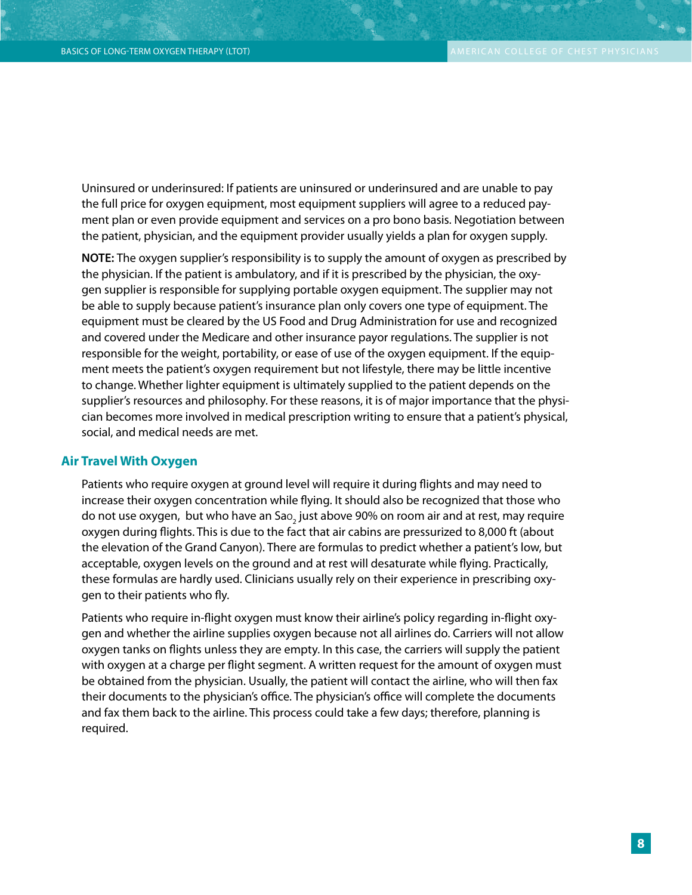Uninsured or underinsured: If patients are uninsured or underinsured and are unable to pay the full price for oxygen equipment, most equipment suppliers will agree to a reduced payment plan or even provide equipment and services on a pro bono basis. Negotiation between the patient, physician, and the equipment provider usually yields a plan for oxygen supply.

**NOTE:** The oxygen supplier's responsibility is to supply the amount of oxygen as prescribed by the physician. If the patient is ambulatory, and if it is prescribed by the physician, the oxygen supplier is responsible for supplying portable oxygen equipment. The supplier may not be able to supply because patient's insurance plan only covers one type of equipment. The equipment must be cleared by the US Food and Drug Administration for use and recognized and covered under the Medicare and other insurance payor regulations. The supplier is not responsible for the weight, portability, or ease of use of the oxygen equipment. If the equipment meets the patient's oxygen requirement but not lifestyle, there may be little incentive to change. Whether lighter equipment is ultimately supplied to the patient depends on the supplier's resources and philosophy. For these reasons, it is of major importance that the physician becomes more involved in medical prescription writing to ensure that a patient's physical, social, and medical needs are met.

#### **Air Travel With Oxygen**

Patients who require oxygen at ground level will require it during flights and may need to increase their oxygen concentration while flying. It should also be recognized that those who do not use oxygen, but who have an Sa $\rm o_{2}$  just above 90% on room air and at rest, may require oxygen during flights. This is due to the fact that air cabins are pressurized to 8,000 ft (about the elevation of the Grand Canyon). There are formulas to predict whether a patient's low, but acceptable, oxygen levels on the ground and at rest will desaturate while flying. Practically, these formulas are hardly used. Clinicians usually rely on their experience in prescribing oxygen to their patients who fly.

Patients who require in-flight oxygen must know their airline's policy regarding in-flight oxygen and whether the airline supplies oxygen because not all airlines do. Carriers will not allow oxygen tanks on flights unless they are empty. In this case, the carriers will supply the patient with oxygen at a charge per flight segment. A written request for the amount of oxygen must be obtained from the physician. Usually, the patient will contact the airline, who will then fax their documents to the physician's office. The physician's office will complete the documents and fax them back to the airline. This process could take a few days; therefore, planning is required.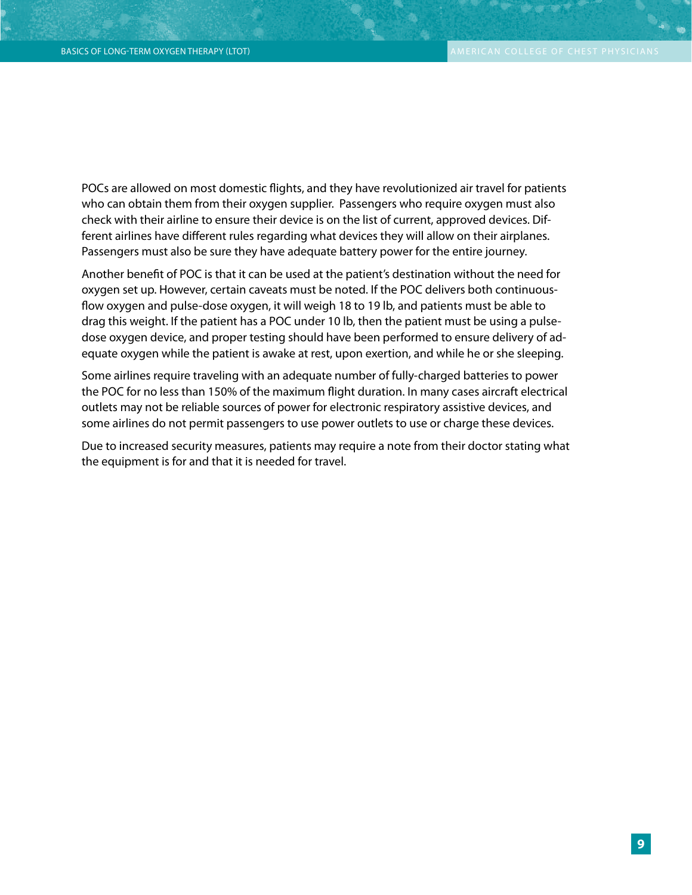POCs are allowed on most domestic flights, and they have revolutionized air travel for patients who can obtain them from their oxygen supplier. Passengers who require oxygen must also check with their airline to ensure their device is on the list of current, approved devices. Different airlines have different rules regarding what devices they will allow on their airplanes. Passengers must also be sure they have adequate battery power for the entire journey.

Another benefit of POC is that it can be used at the patient's destination without the need for oxygen set up. However, certain caveats must be noted. If the POC delivers both continuousflow oxygen and pulse-dose oxygen, it will weigh 18 to 19 lb, and patients must be able to drag this weight. If the patient has a POC under 10 lb, then the patient must be using a pulsedose oxygen device, and proper testing should have been performed to ensure delivery of adequate oxygen while the patient is awake at rest, upon exertion, and while he or she sleeping.

Some airlines require traveling with an adequate number of fully-charged batteries to power the POC for no less than 150% of the maximum flight duration. In many cases aircraft electrical outlets may not be reliable sources of power for electronic respiratory assistive devices, and some airlines do not permit passengers to use power outlets to use or charge these devices.

Due to increased security measures, patients may require a note from their doctor stating what the equipment is for and that it is needed for travel.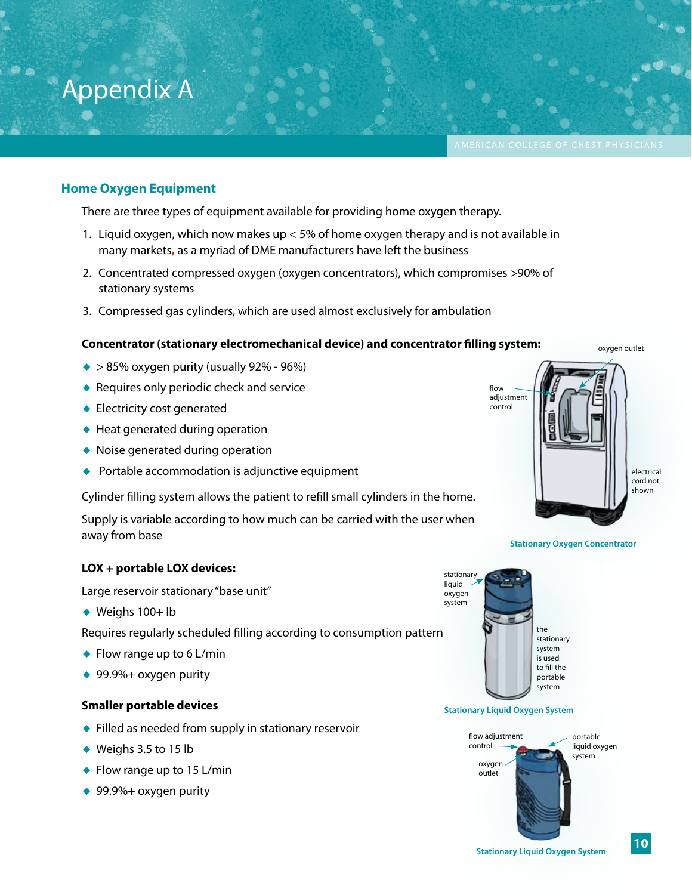**10**

There are three types of equipment available for providing home oxygen therapy.

1. Liquid oxygen, which now makes up < 5% of home oxygen therapy and is not available in many markets**,** as a myriad of DME manufacturers have left the business

Basics of Long-term Oxygen Therapy (LTOT) American College of College of Chest Physics Physics Physics Physics

- 2. Concentrated compressed oxygen (oxygen concentrators), which compromises >90% of stationary systems
- 3. Compressed gas cylinders, which are used almost exclusively for ambulation

#### **Concentrator (stationary electromechanical device) and concentrator filling system:**

- $\bullet$  > 85% oxygen purity (usually 92% 96%)
- ◆ Requires only periodic check and service
- ◆ Electricity cost generated
- ◆ Heat generated during operation
- ◆ Noise generated during operation
- ◆ Portable accommodation is adjunctive equipment

Cylinder filling system allows the patient to refill small cylinders in the home.

Supply is variable according to how much can be carried with the user when away from base

#### **LOX + portable LOX devices:**

Large reservoir stationary "base unit"

◆ Weighs 100+ lb

Requires regularly scheduled filling according to consumption pattern

- $\bullet$  Flow range up to 6 L/min
- ◆ 99.9%+ oxygen purity

#### **Smaller portable devices**

- ◆ Filled as needed from supply in stationary reservoir
- ◆ Weighs 3.5 to 15 lb
- ◆ Flow range up to 15 L/min
- ◆ 99.9%+ oxygen purity

**Stationary Liquid Oxygen System**

liquid oxygen system



the stationary system is used to fill the portable system





oxygen outlet

# Appendix A

**Home Oxygen Equipment**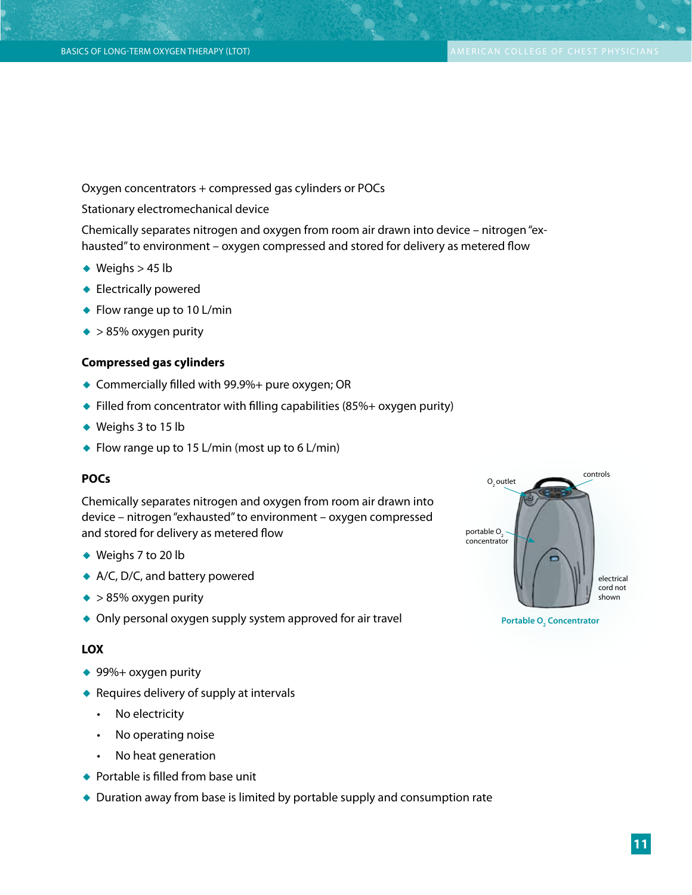$\bullet$   $\bullet$ 

Oxygen concentrators + compressed gas cylinders or POCs

Stationary electromechanical device

Chemically separates nitrogen and oxygen from room air drawn into device – nitrogen "exhausted" to environment – oxygen compressed and stored for delivery as metered flow

- ◆ Weighs  $> 45$  lb
- ◆ Electrically powered
- ◆ Flow range up to 10 L/min
- ◆ > 85% oxygen purity

#### **Compressed gas cylinders**

- ◆ Commercially filled with 99.9%+ pure oxygen; OR
- ◆ Filled from concentrator with filling capabilities (85%+ oxygen purity)
- ◆ Weighs 3 to 15 lb
- ◆ Flow range up to 15 L/min (most up to 6 L/min)

#### **POCs**

Chemically separates nitrogen and oxygen from room air drawn into device – nitrogen "exhausted" to environment – oxygen compressed and stored for delivery as metered flow

- ◆ Weighs 7 to 20 lb
- ◆ A/C, D/C, and battery powered
- ◆ > 85% oxygen purity
- ◆ Only personal oxygen supply system approved for air travel

#### **LOX**

- ◆ 99%+ oxygen purity
- ◆ Requires delivery of supply at intervals
	- No electricity
	- • No operating noise
	- • No heat generation
- ◆ Portable is filled from base unit
- ◆ Duration away from base is limited by portable supply and consumption rate

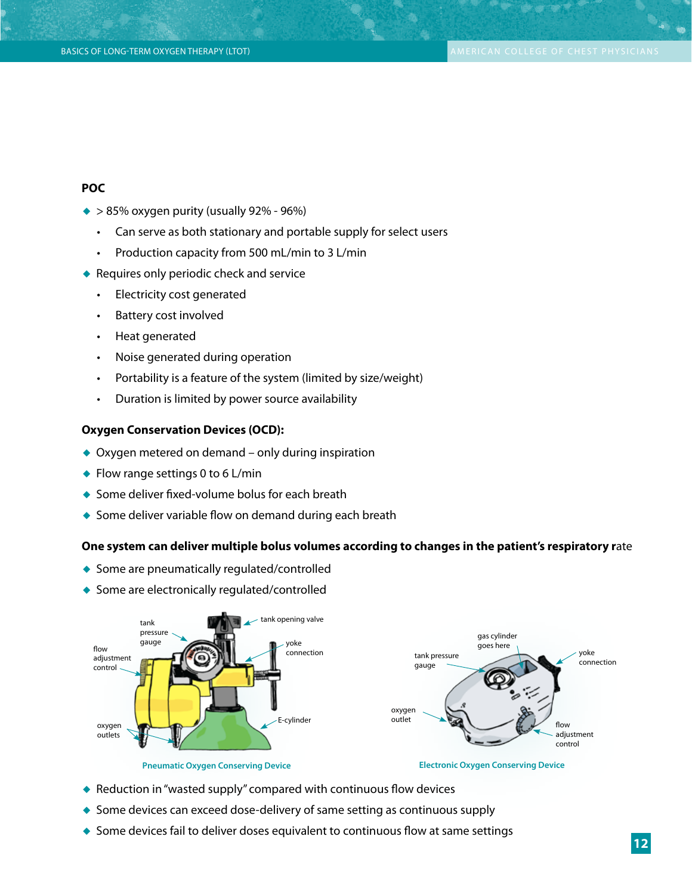#### **POC**

- $\blacktriangleright$  > 85% oxygen purity (usually 92% 96%)
	- Can serve as both stationary and portable supply for select users
	- • Production capacity from 500 mL/min to 3 L/min
- ◆ Requires only periodic check and service
	- • Electricity cost generated
	- Battery cost involved
	- Heat generated
	- Noise generated during operation
	- Portability is a feature of the system (limited by size/weight)
	- • Duration is limited by power source availability

#### **Oxygen Conservation Devices (OCD):**

- ◆ Oxygen metered on demand only during inspiration
- $\bullet$  Flow range settings 0 to 6 L/min
- ◆ Some deliver fixed-volume bolus for each breath
- ◆ Some deliver variable flow on demand during each breath

#### **One system can deliver multiple bolus volumes according to changes in the patient's respiratory r**ate

- ◆ Some are pneumatically regulated/controlled
- ◆ Some are electronically regulated/controlled



**Pneumatic Oxygen Conserving Device**

**Electronic Oxygen Conserving Device**

- ◆ Reduction in "wasted supply" compared with continuous flow devices
- ◆ Some devices can exceed dose-delivery of same setting as continuous supply
- ◆ Some devices fail to deliver doses equivalent to continuous flow at same settings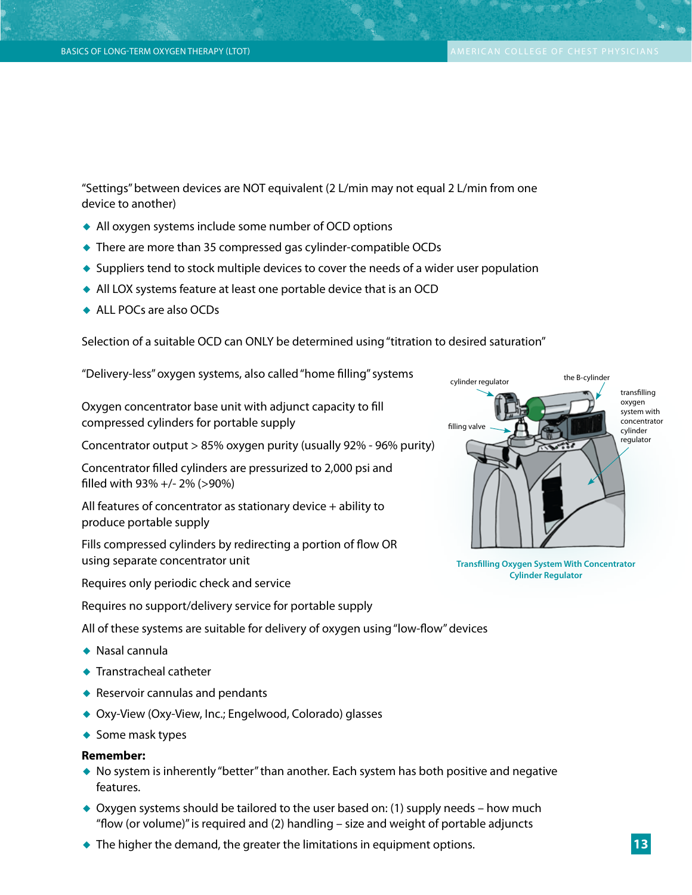"Settings" between devices are NOT equivalent (2 L/min may not equal 2 L/min from one device to another)

- ◆ All oxygen systems include some number of OCD options
- ◆ There are more than 35 compressed gas cylinder-compatible OCDs
- ◆ Suppliers tend to stock multiple devices to cover the needs of a wider user population
- ◆ All LOX systems feature at least one portable device that is an OCD
- ◆ ALL POCs are also OCDs

Selection of a suitable OCD can ONLY be determined using "titration to desired saturation"

"Delivery-less" oxygen systems, also called "home filling" systems

Oxygen concentrator base unit with adjunct capacity to fill compressed cylinders for portable supply

Concentrator output > 85% oxygen purity (usually 92% - 96% purity)

Concentrator filled cylinders are pressurized to 2,000 psi and filled with 93% +/- 2% (>90%)

All features of concentrator as stationary device + ability to produce portable supply

Fills compressed cylinders by redirecting a portion of flow OR using separate concentrator unit

Requires only periodic check and service

Requires no support/delivery service for portable supply

All of these systems are suitable for delivery of oxygen using "low-flow" devices

- ◆ Nasal cannula
- ◆ Transtracheal catheter
- ◆ Reservoir cannulas and pendants
- ◆ Oxy-View (Oxy-View, Inc.; Engelwood, Colorado) glasses
- ◆ Some mask types

#### **Remember:**

- ◆ No system is inherently "better" than another. Each system has both positive and negative features.
- $\triangle$  Oxygen systems should be tailored to the user based on: (1) supply needs how much "flow (or volume)" is required and (2) handling – size and weight of portable adjuncts
- $\blacklozenge$  The higher the demand, the greater the limitations in equipment options.



**Transfilling Oxygen System With Concentrator Cylinder Regulator**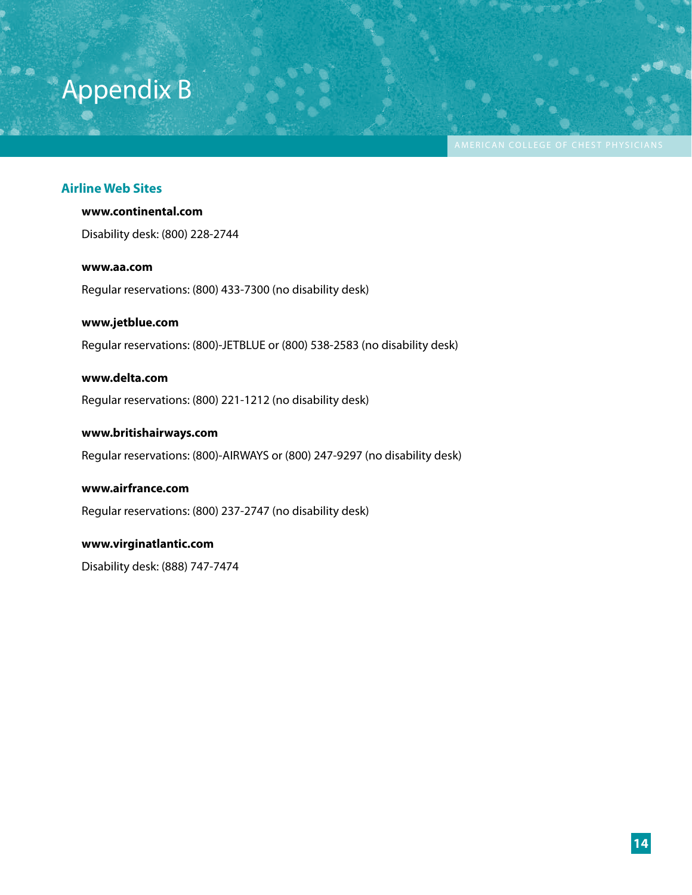# Appendix B

#### **Airline Web Sites**

#### **www.continental.com**

Disability desk: (800) 228-2744

#### **www.aa.com**

Regular reservations: (800) 433-7300 (no disability desk)

#### **www.jetblue.com**

Regular reservations: (800)-JETBLUE or (800) 538-2583 (no disability desk)

Basics of Long-term Oxygen Therapy (LTOT) American College of College of Chest Physics Physics Physics Physics

#### **www.delta.com**

Regular reservations: (800) 221-1212 (no disability desk)

#### **www.britishairways.com**

Regular reservations: (800)-AIRWAYS or (800) 247-9297 (no disability desk)

#### **www.airfrance.com**

Regular reservations: (800) 237-2747 (no disability desk)

#### **www.virginatlantic.com**

Disability desk: (888) 747-7474